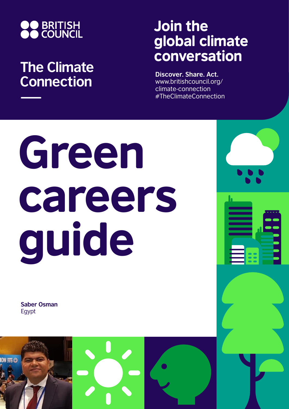

## **The Climate Connection**

## Join the global climate conversation

**Discover. Share. Act.** www.britishcouncil.org/ climate-connection #TheClimateConnection

# Green careers guide

**Saber Osman** Egypt

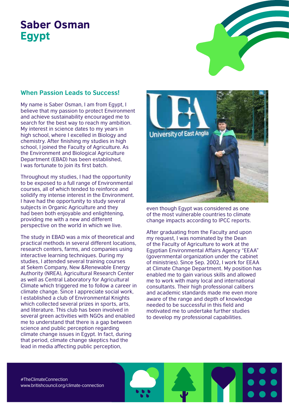### Saber Osman Egypt

#### **When Passion Leads to Success!**

My name is Saber Osman, I am from Egypt, I believe that my passion to protect Environment and achieve sustainability encouraged me to search for the best way to reach my ambition. My interest in science dates to my years in high school, where I excelled in Biology and chemistry. After finishing my studies in high school, I joined the Faculty of Agriculture. As the Environment and Biological Agriculture Department (EBAD) has been established, I was fortunate to join its first batch.

Throughout my studies, I had the opportunity to be exposed to a full range of Environmental courses, all of which tended to reinforce and solidify my intense interest in the Environment. I have had the opportunity to study several subjects in Organic Agriculture and they had been both enjoyable and enlightening, providing me with a new and different perspective on the world in which we live.

The study in EBAD was a mix of theoretical and practical methods in several different locations, research centers, farms, and companies using interactive learning techniques. During my studies, I attended several training courses at Sekem Company, New &Renewable Energy Authority (NREA), Agricultural Research Center as well as Central Laboratory for Agricultural Climate which triggered me to follow a career in climate change. Since I appreciate social work, I established a club of Environmental Knights which collected several prizes in sports, arts, and literature. This club has been involved in several green activities with NGOs and enabled me to understand that there is a gap between science and public perception regarding climate change issues in Egypt. In fact, during that period, climate change skeptics had the lead in media affecting public perception,



even though Egypt was considered as one of the most vulnerable countries to climate change impacts according to IPCC reports.

After graduating from the Faculty and upon my request, I was nominated by the Dean of the Faculty of Agriculture to work at the Egyptian Environmental Affairs Agency "EEAA" (governmental organization under the cabinet of ministries). Since Sep. 2002, I work for EEAA at Climate Change Department. My position has enabled me to gain various skills and allowed me to work with many local and international consultants. Their high professional calibers and academic standards made me even more aware of the range and depth of knowledge needed to be successful in this field and motivated me to undertake further studies to develop my professional capabilities.

#TheClimateConnection www.britishcouncil.org/climate-connection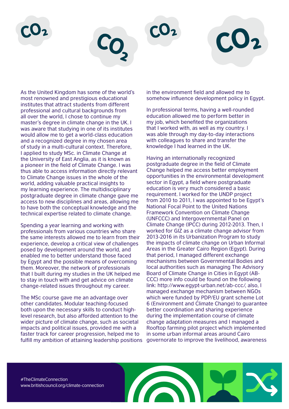

As the United Kingdom has some of the world's most renowned and prestigious educational institutes that attract students from different professional and cultural backgrounds from all over the world, I chose to continue my master's degree in climate change in the UK. I was aware that studying in one of its institutes would allow me to get a world-class education and a recognized degree in my chosen area of study in a multi-cultural context. Therefore, I applied to study MSc. in Climate Change at the University of East Anglia, as it is known as a pioneer in the field of Climate Change. I was thus able to access information directly relevant to Climate Change issues in the whole of the world, adding valuable practical insights to my learning experience. The multidisciplinary postgraduate degree in climate change gave me access to new disciplines and areas, allowing me to have both the conceptual knowledge and the technical expertise related to climate change.

Spending a year learning and working with professionals from various countries who share the same interests allowed me to learn from their experience, develop a critical view of challenges posed by development around the world, and enabled me to better understand those faced by Egypt and the possible means of overcoming them. Moreover, the network of professionals that I built during my studies in the UK helped me to stay in touch with and get advice on climate change-related issues throughout my career.

The MSc course gave me an advantage over other candidates. Modular teaching-focused both upon the necessary skills to conduct highlevel research, but also afforded attention to the wider picture of climate change, such as societal impacts and political issues, provided me with a faster track for career progression, helped me to fulfill my ambition of attaining leadership positions governorate to improve the livelihood, awareness

in the environment field and allowed me to somehow influence development policy in Egypt.

In professional terms, having a well-rounded education allowed me to perform better in my job, which benefited the organizations that I worked with, as well as my country. I was able through my day-to-day interactions with colleagues to share and transfer the knowledge I had learned in the UK.

Having an internationally recognized postgraduate degree in the field of Climate Change helped me access better employment opportunities in the environmental development sector in Egypt, a field where postgraduate education is very much considered a basic requirement. I worked for the UNDP project from 2010 to 2011, I was appointed to be Egypt's National Focal Point to the United Nations Framework Convention on Climate Change (UNFCCC) and Intergovernmental Panel on Climate Change (IPCC) during 2012-2013. Then, I worked for GIZ as a climate change advisor from 2013-2016 in its Urbanization Program to study the impacts of climate change on Urban Informal Areas in the Greater Cairo Region (Egypt). During that period, I managed different exchange mechanisms between Governmental Bodies and local authorities such as managing The Advisory Board of Climate Change in Cities in Egypt (AB-CCC) more info could be found on the following link: http://www.egypt-urban.net/ab-ccc/, also, I managed exchange mechanism between NGOs which were funded by PDP/EU grant scheme Lot 6 (Environment and Climate Change) to guarantee better coordination and sharing experience during the implementation course of climate change adaptation measures and I managed a Rooftop farming pilot project which implemented in some urban informal areas around Cairo

#TheClimateConnection www.britishcouncil.org/climate-connection